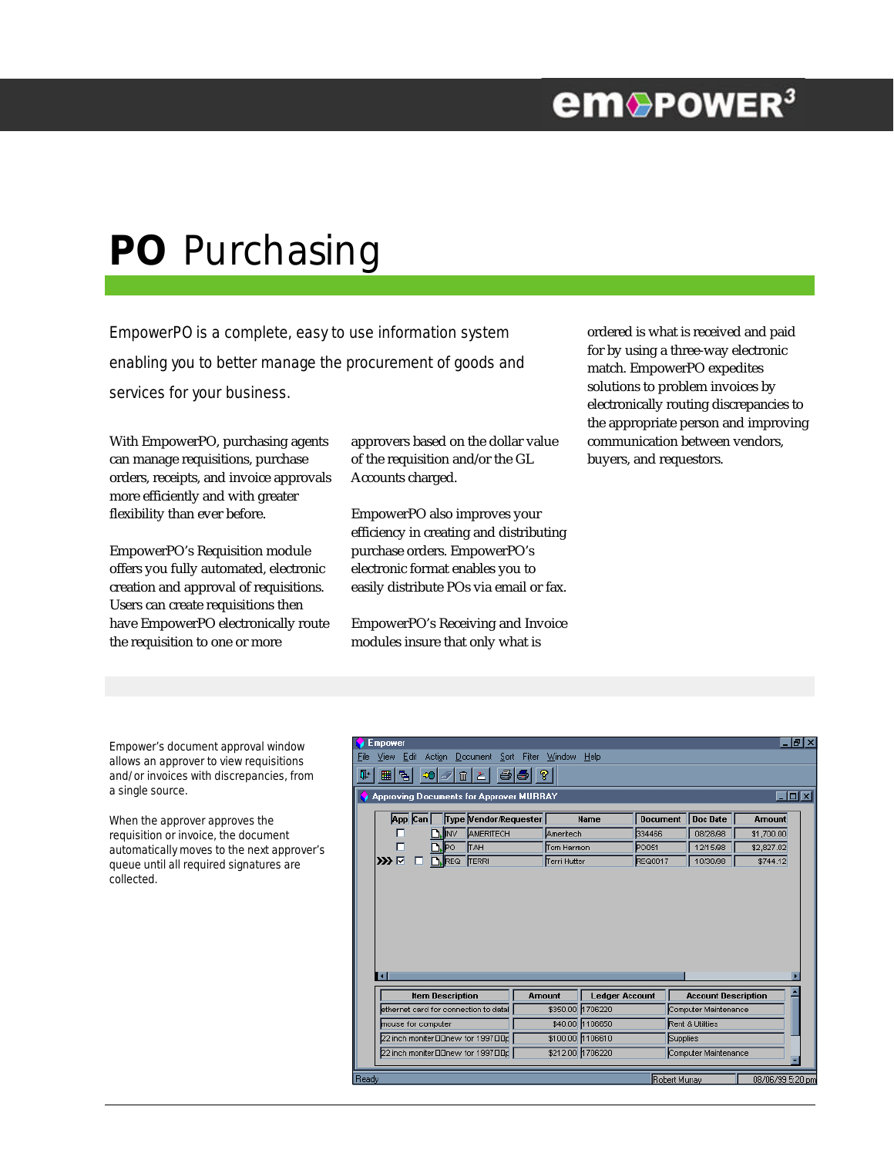## **em**®PowER<sup>3</sup>

# **PO** Purchasing

EmpowerPO is a complete, easy to use information system enabling you to better manage the procurement of goods and services for your business.

With EmpowerPO, purchasing agents can manage requisitions, purchase orders, receipts, and invoice approvals more efficiently and with greater flexibility than ever before.

EmpowerPO's Requisition module offers you fully automated, electronic creation and approval of requisitions. Users can create requisitions then have EmpowerPO electronically route the requisition to one or more

approvers based on the dollar value of the requisition and/or the GL Accounts charged.

EmpowerPO also improves your efficiency in creating and distributing purchase orders. EmpowerPO's electronic format enables you to easily distribute POs via email or fax.

EmpowerPO's Receiving and Invoice modules insure that only what is

ordered is what is received and paid for by using a three-way electronic match. EmpowerPO expedites solutions to problem invoices by electronically routing discrepancies to the appropriate person and improving communication between vendors, buyers, and requestors.

Empower's document approval window allows an approver to view requisitions and/or invoices with discrepancies, from a single source.

When the approver approves the requisition or invoice, the document automatically moves to the next approver's queue until all required signatures are collected.

|                                                                                | <b>Empower</b>                        |                         |                         |                       |                  |                  |                       |                      |               |                            |                  | - Ialxi |
|--------------------------------------------------------------------------------|---------------------------------------|-------------------------|-------------------------|-----------------------|------------------|------------------|-----------------------|----------------------|---------------|----------------------------|------------------|---------|
| Edit<br>Action<br>Document<br>Filter<br>View<br>Sort<br>Window<br>Help<br>File |                                       |                         |                         |                       |                  |                  |                       |                      |               |                            |                  |         |
| 음리<br>$\sqrt{3}$<br>⊞<br>림<br>-0 ∥<br>$\boxed{m}$<br>Ţ.<br>图                   |                                       |                         |                         |                       |                  |                  |                       |                      |               |                            |                  |         |
| $\Box$ o $\boxtimes$<br>Approving Documents for Approver MURRAY                |                                       |                         |                         |                       |                  |                  |                       |                      |               |                            |                  |         |
|                                                                                |                                       | App Can                 |                         | Type Vendor Requester |                  |                  | <b>Name</b>           | <b>Document</b>      |               | <b>Doc Date</b>            | <b>Amount</b>    |         |
|                                                                                |                                       | AMERITECH<br><b>INV</b> |                         |                       |                  | Ameritech        |                       | 334466               |               | 08/28/98                   | \$1,700.00       |         |
|                                                                                |                                       | <b>TAH</b><br>JÞo       |                         |                       |                  | Tom Harmon       |                       | PO051                |               | 12/15/98                   | \$2,827.02       |         |
|                                                                                | ק ≪כ                                  |                         | . IREQ                  | TERRI                 |                  | Terri Hutter     |                       | REQ0017              |               | 10/30/98                   | \$744.12         |         |
|                                                                                | ПI                                    |                         | <b>Item Description</b> |                       | <b>Amount</b>    |                  | <b>Ledger Account</b> |                      |               | <b>Account Description</b> |                  | т       |
|                                                                                | ethernet card for connection to datal |                         |                         |                       | \$350.00         | 1706220          |                       | Computer Maintenance |               |                            |                  |         |
|                                                                                | nouse for computer                    |                         |                         | \$40.00               |                  | 1106650          |                       | Rent & Utilities     |               |                            |                  |         |
|                                                                                | 22 inch moniter DDnew for 1997 DDp    |                         |                         |                       |                  | \$100.00 1106610 |                       | Supplies             |               |                            |                  |         |
|                                                                                | 22 inch moniter DDnew for 1997 DDp    |                         |                         |                       | \$212.00 1706220 |                  |                       | Computer Maintenance |               |                            |                  |         |
| Ready                                                                          |                                       |                         |                         |                       |                  |                  |                       |                      | Robert Murray |                            | 08/06/99 5:20 pm |         |